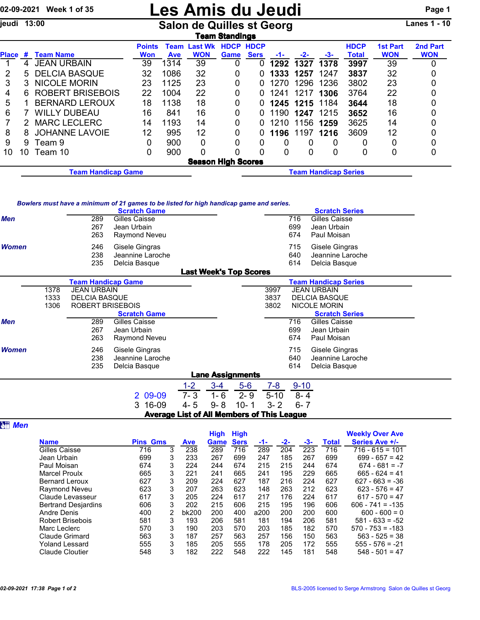## 02-09-2021 Week 1 of 35 **Les Amis du Jeudi** Page 1

jeudi 13:00 Salon de Quilles st Georg Lanes 1 - 10

| <b>Feam Standings</b> |    |                           |                      |                    |                              |                                 |             |      |                             |      |                             |                               |                        |
|-----------------------|----|---------------------------|----------------------|--------------------|------------------------------|---------------------------------|-------------|------|-----------------------------|------|-----------------------------|-------------------------------|------------------------|
| Place                 | #  | <b>Team Name</b>          | <b>Points</b><br>Won | Team<br><b>Ave</b> | <b>Last Wk</b><br><b>WON</b> | <b>HDCP HDCP</b><br><b>Game</b> | <b>Sers</b> | -1-  | $-2-$                       | -3-  | <b>HDCP</b><br><b>Total</b> | <b>1st Part</b><br><b>WON</b> | 2nd Part<br><b>WON</b> |
|                       | 4  | <b>JEAN URBAIN</b>        | 39                   | 1314               | 39                           | 0                               |             | 1292 | 1327                        | 1378 | 3997                        | 39                            | 0                      |
| 2                     | 5. | <b>DELCIA BASQUE</b>      | 32                   | 1086               | 32                           | 0                               |             | 1333 | 1257                        | 1247 | 3837                        | 32                            |                        |
| 3                     | 3. | <b>NICOLE MORIN</b>       | 23                   | 1125               | 23                           | 0                               | 0           | 1270 | 1296                        | 1236 | 3802                        | 23                            |                        |
| 4                     | 6. | <b>ROBERT BRISEBOIS</b>   | 22                   | 1004               | 22                           | 0                               | 0           | 1241 | 1217                        | 1306 | 3764                        | 22                            |                        |
| 5                     |    | <b>BERNARD LEROUX</b>     | 18                   | 1138               | 18                           | 0                               | 0           |      | 1245 1215 1184              |      | 3644                        | 18                            |                        |
| 6                     |    | <b>WILLY DUBEAU</b>       | 16                   | 841                | 16                           | 0                               | 0           |      | 1190 1247 1215              |      | 3652                        | 16                            |                        |
|                       | 2  | <b>MARC LECLERC</b>       | 14                   | 1193               | 14                           | 0                               | 0           | 1210 | 1156                        | 1259 | 3625                        | 14                            |                        |
| 8                     | 8  | <b>JOHANNE LAVOIE</b>     | 12                   | 995                | 12                           | 0                               | 0           | 1196 | 1197                        | 1216 | 3609                        | 12                            |                        |
| 9                     | 9  | Team 9                    | 0                    | 900                | 0                            | 0                               | 0           | O    | 0                           | O    |                             |                               |                        |
| 10                    | 10 | Team 10                   | 0                    | 900                | 0                            |                                 | $\Omega$    | U    | 0                           | 0    | O                           | 0                             | $\Omega$               |
|                       |    |                           |                      |                    | <b>Season High Scores</b>    |                                 |             |      |                             |      |                             |                               |                        |
|                       |    | <b>Team Handicap Game</b> |                      |                    |                              |                                 |             |      | <b>Team Handicap Series</b> |      |                             |                               |                        |

## *Bowlers must have a minimum of 21 games to be listed for high handicap game and series.*

|                               |      |                           | <b>Scratch Game</b> |         |         |          |          |                     | <b>Scratch Series</b>       |                                                   |  |  |  |  |  |  |  |  |  |  |
|-------------------------------|------|---------------------------|---------------------|---------|---------|----------|----------|---------------------|-----------------------------|---------------------------------------------------|--|--|--|--|--|--|--|--|--|--|
| <b>Men</b>                    |      | 289                       | Gilles Caisse       |         |         |          |          | 716                 | Gilles Caisse               |                                                   |  |  |  |  |  |  |  |  |  |  |
|                               |      | 267                       | Jean Urbain         |         |         |          |          | 699                 | Jean Urbain                 |                                                   |  |  |  |  |  |  |  |  |  |  |
|                               |      | 263                       | Raymond Neveu       |         |         |          |          | 674                 | Paul Moisan                 |                                                   |  |  |  |  |  |  |  |  |  |  |
| <b>Women</b>                  |      | 246                       | Gisele Gingras      |         |         |          |          | 715                 | Gisele Gingras              |                                                   |  |  |  |  |  |  |  |  |  |  |
|                               |      | 238                       | Jeannine Laroche    |         |         |          |          | 640                 | Jeannine Laroche            |                                                   |  |  |  |  |  |  |  |  |  |  |
|                               |      | 235                       | Delcia Basque       |         |         |          |          | 614                 | Delcia Basque               |                                                   |  |  |  |  |  |  |  |  |  |  |
| <b>Last Week's Top Scores</b> |      |                           |                     |         |         |          |          |                     |                             |                                                   |  |  |  |  |  |  |  |  |  |  |
|                               |      | <b>Team Handicap Game</b> |                     |         |         |          |          |                     | <b>Team Handicap Series</b> |                                                   |  |  |  |  |  |  |  |  |  |  |
|                               | 1378 | <b>JEAN URBAIN</b>        |                     |         |         |          | 3997     |                     | <b>JEAN URBAIN</b>          |                                                   |  |  |  |  |  |  |  |  |  |  |
|                               | 1333 | <b>DELCIA BASQUE</b>      |                     |         |         |          | 3837     |                     | <b>DELCIA BASQUE</b>        |                                                   |  |  |  |  |  |  |  |  |  |  |
|                               | 1306 | <b>ROBERT BRISEBOIS</b>   |                     | 3802    |         |          |          | <b>NICOLE MORIN</b> |                             |                                                   |  |  |  |  |  |  |  |  |  |  |
|                               |      |                           | <b>Scratch Game</b> |         |         |          |          |                     | <b>Scratch Series</b>       |                                                   |  |  |  |  |  |  |  |  |  |  |
| Men                           |      | 289                       | Gilles Caisse       |         |         |          |          | 716                 | Gilles Caisse               |                                                   |  |  |  |  |  |  |  |  |  |  |
|                               |      | 267                       | Jean Urbain         |         |         |          |          | 699                 | Jean Urbain                 |                                                   |  |  |  |  |  |  |  |  |  |  |
|                               |      | 263                       | Raymond Neveu       |         |         |          |          | 674                 | Paul Moisan                 |                                                   |  |  |  |  |  |  |  |  |  |  |
| <b>Women</b>                  |      | 246                       | Gisele Gingras      |         |         |          |          | 715                 | Gisele Gingras              |                                                   |  |  |  |  |  |  |  |  |  |  |
|                               |      | 238                       | Jeannine Laroche    |         |         |          |          | 640                 | Jeannine Laroche            |                                                   |  |  |  |  |  |  |  |  |  |  |
|                               |      | 235                       | Delcia Basque       |         |         |          |          | 614                 | Delcia Basque               |                                                   |  |  |  |  |  |  |  |  |  |  |
| <b>Lane Assignments</b>       |      |                           |                     |         |         |          |          |                     |                             |                                                   |  |  |  |  |  |  |  |  |  |  |
|                               |      |                           |                     | $1 - 2$ | $3 - 4$ | $5-6$    | $7 - 8$  | $9 - 10$            |                             |                                                   |  |  |  |  |  |  |  |  |  |  |
|                               |      |                           | 2 09-09             | $7 - 3$ | $1 - 6$ | $2 - 9$  | $5 - 10$ | $8 - 4$             |                             |                                                   |  |  |  |  |  |  |  |  |  |  |
|                               |      |                           | 16-09<br>3          | $4 - 5$ | $9 - 8$ | $10 - 1$ | $3 - 2$  | $6 - 7$             |                             |                                                   |  |  |  |  |  |  |  |  |  |  |
|                               |      |                           |                     |         |         |          |          |                     |                             |                                                   |  |  |  |  |  |  |  |  |  |  |
|                               |      |                           |                     |         |         |          |          |                     |                             | <b>Average List of All Members of This League</b> |  |  |  |  |  |  |  |  |  |  |

**att** Men

|                            |                 |   |            | <b>High</b> | <b>High</b> |      |       |       |              | <b>Weekly Over Ave</b> |
|----------------------------|-----------------|---|------------|-------------|-------------|------|-------|-------|--------------|------------------------|
| <b>Name</b>                | <b>Pins Gms</b> |   | <b>Ave</b> | Game        | <b>Sers</b> | -1-  | $-2-$ | $-3-$ | <b>Total</b> | Series Ave +/-         |
| Gilles Caisse              | 716             | 3 | 238        | 289         | 716         | 289  | 204   | 223   | 716          | $716 - 615 = 101$      |
| Jean Urbain                | 699             | 3 | 233        | 267         | 699         | 247  | 185   | 267   | 699          | $699 - 657 = 42$       |
| Paul Moisan                | 674             | 3 | 224        | 244         | 674         | 215  | 215   | 244   | 674          | $674 - 681 = -7$       |
| <b>Marcel Proulx</b>       | 665             | 3 | 221        | 241         | 665         | 241  | 195   | 229   | 665          | $665 - 624 = 41$       |
| <b>Bernard Leroux</b>      | 627             | 3 | 209        | 224         | 627         | 187  | 216   | 224   | 627          | $627 - 663 = -36$      |
| Raymond Neveu              | 623             | 3 | 207        | 263         | 623         | 148  | 263   | 212   | 623          | $623 - 576 = 47$       |
| Claude Levasseur           | 617             | 3 | 205        | 224         | 617         | 217  | 176   | 224   | 617          | $617 - 570 = 47$       |
| <b>Bertrand Desjardins</b> | 606             | 3 | 202        | 215         | 606         | 215  | 195   | 196   | 606          | $606 - 741 = -135$     |
| <b>Andre Denis</b>         | 400             | 2 | bk200      | 200         | 400         | a200 | 200   | 200   | 600          | $600 - 600 = 0$        |
| Robert Brisebois           | 581             | 3 | 193        | 206         | 581         | 181  | 194   | 206   | 581          | $581 - 633 = -52$      |
| Marc Leclerc               | 570             | 3 | 190        | 203         | 570         | 203  | 185   | 182   | 570          | $570 - 753 = -183$     |
| Claude Grimard             | 563             | 3 | 187        | 257         | 563         | 257  | 156   | 150   | 563          | $563 - 525 = 38$       |
| Yoland Lessard             | 555             | 3 | 185        | 205         | 555         | 178  | 205   | 172   | 555          | $555 - 576 = -21$      |
| <b>Claude Cloutier</b>     | 548             | 3 | 182        | 222         | 548         | 222  | 145   | 181   | 548          | $548 - 501 = 47$       |